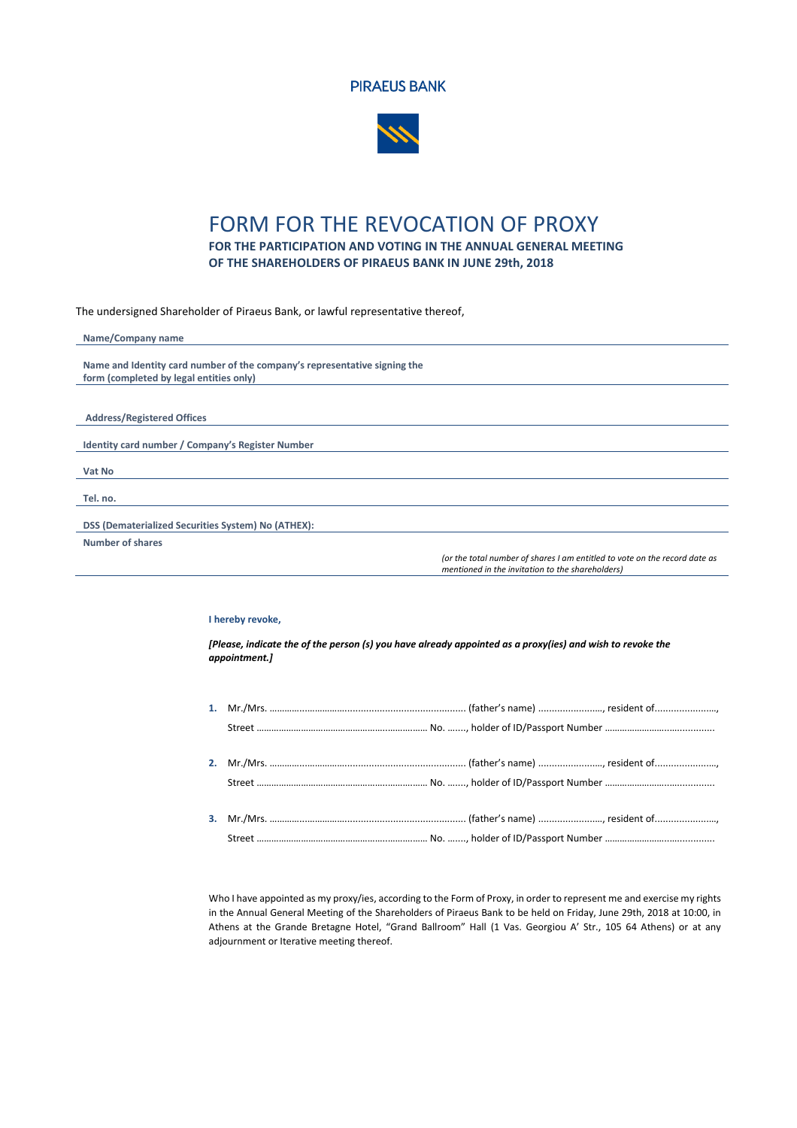



## FORM FOR THE REVOCATION OF PROXY **FOR THE PARTICIPATION AND VOTING IN THE ANNUAL GENERAL MEETING**

**OF THE SHAREHOLDERS OF PIRAEUS BANK IN JUNE 29th, 2018**

The undersigned Shareholder of Piraeus Bank, or lawful representative thereof,

| Name/Company name                                                         |  |  |
|---------------------------------------------------------------------------|--|--|
|                                                                           |  |  |
| Name and Identity card number of the company's representative signing the |  |  |
| form (completed by legal entities only)                                   |  |  |
|                                                                           |  |  |
|                                                                           |  |  |
| <b>Address/Registered Offices</b>                                         |  |  |
|                                                                           |  |  |
| Identity card number / Company's Register Number                          |  |  |
|                                                                           |  |  |
| Vat No                                                                    |  |  |
|                                                                           |  |  |
| Tel. no.                                                                  |  |  |
|                                                                           |  |  |
| DSS (Dematerialized Securities System) No (ATHEX):                        |  |  |
| <b>Number of shares</b>                                                   |  |  |
| for the total number of charge Lam entitled to ustain the record data as  |  |  |

*(or the total number of shares I am entitled to vote on the record date as mentioned in the invitation to the shareholders)*

## **I hereby revoke,**

*[Please, indicate the of the person (s) you have already appointed as a proxy(ies) and wish to revoke the appointment.]*

Who I have appointed as my proxy/ies, according to the Form of Proxy, in order to represent me and exercise my rights in the Annual General Meeting of the Shareholders of Piraeus Bank to be held on Friday, June 29th, 2018 at 10:00, in Athens at the Grande Bretagne Hotel, "Grand Ballroom" Hall (1 Vas. Georgiou A' Str., 105 64 Athens) or at any adjournment or Iterative meeting thereof.